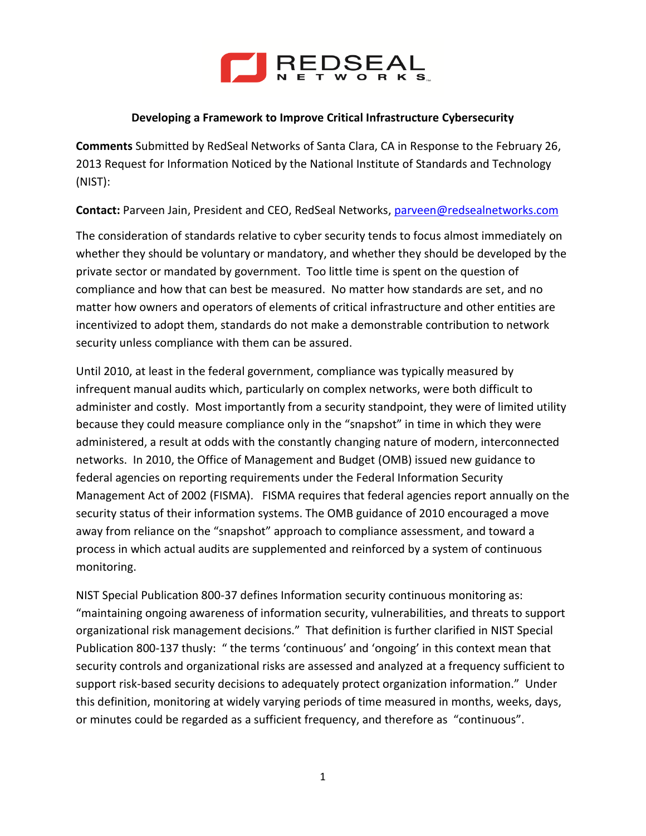

## **Developing a Framework to Improve Critical Infrastructure Cybersecurity**

**Comments** Submitted by RedSeal Networks of Santa Clara, CA in Response to the February 26, 2013 Request for Information Noticed by the National Institute of Standards and Technology (NIST):

**Contact:** Parveen Jain, President and CEO, RedSeal Networks[, parveen@redsealnetworks.com](mailto:parveen@redsealnetworks.com)

The consideration of standards relative to cyber security tends to focus almost immediately on whether they should be voluntary or mandatory, and whether they should be developed by the private sector or mandated by government. Too little time is spent on the question of compliance and how that can best be measured. No matter how standards are set, and no matter how owners and operators of elements of critical infrastructure and other entities are incentivized to adopt them, standards do not make a demonstrable contribution to network security unless compliance with them can be assured.

Until 2010, at least in the federal government, compliance was typically measured by infrequent manual audits which, particularly on complex networks, were both difficult to administer and costly. Most importantly from a security standpoint, they were of limited utility because they could measure compliance only in the "snapshot" in time in which they were administered, a result at odds with the constantly changing nature of modern, interconnected networks. In 2010, the Office of Management and Budget (OMB) issued new guidance to federal agencies on reporting requirements under the Federal Information Security Management Act of 2002 (FISMA). FISMA requires that federal agencies report annually on the security status of their information systems. The OMB guidance of 2010 encouraged a move away from reliance on the "snapshot" approach to compliance assessment, and toward a process in which actual audits are supplemented and reinforced by a system of continuous monitoring.

NIST Special Publication 800-37 defines Information security continuous monitoring as: "maintaining ongoing awareness of information security, vulnerabilities, and threats to support organizational risk management decisions." That definition is further clarified in NIST Special Publication 800-137 thusly: " the terms 'continuous' and 'ongoing' in this context mean that security controls and organizational risks are assessed and analyzed at a frequency sufficient to support risk-based security decisions to adequately protect organization information." Under this definition, monitoring at widely varying periods of time measured in months, weeks, days, or minutes could be regarded as a sufficient frequency, and therefore as "continuous".